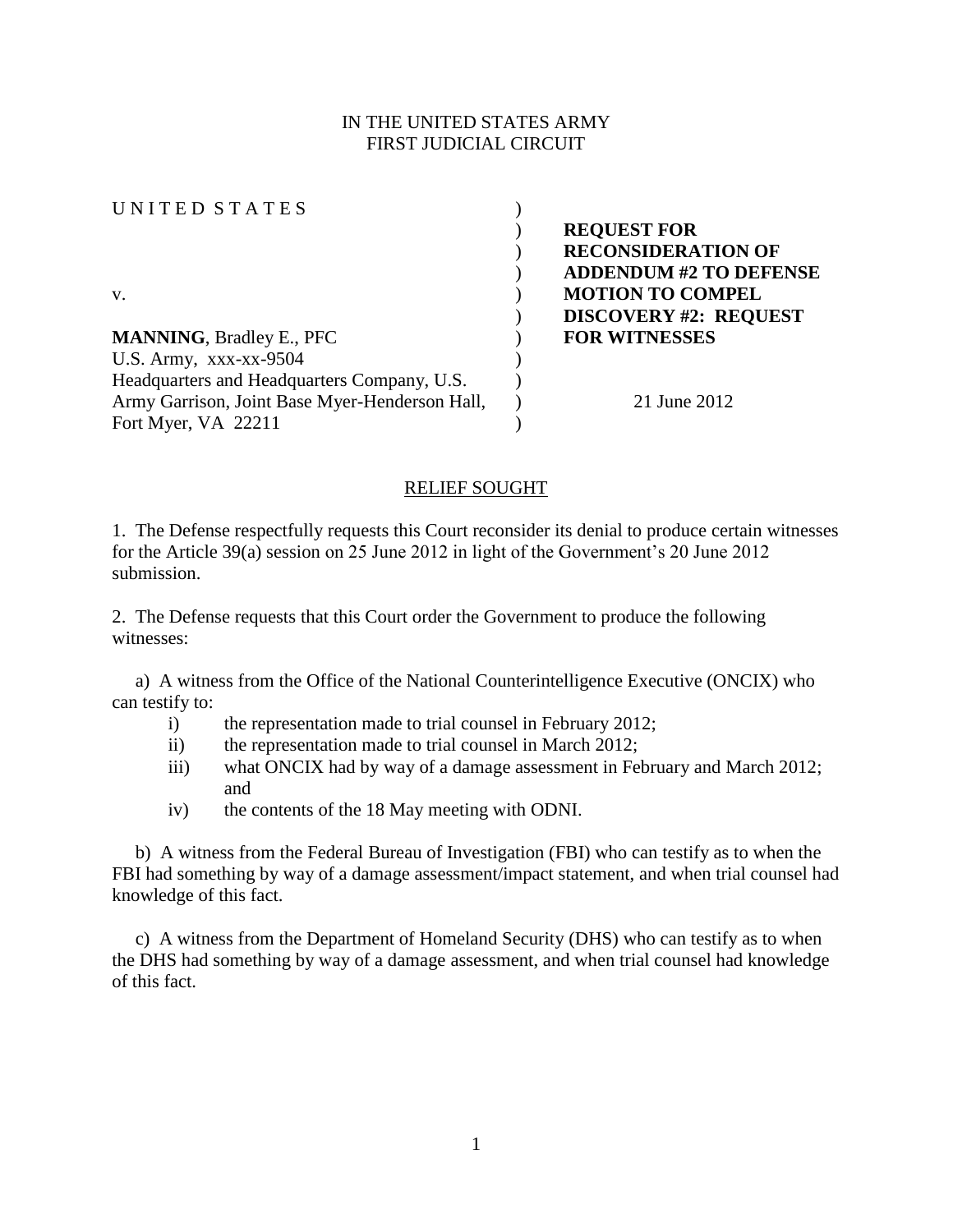# IN THE UNITED STATES ARMY FIRST JUDICIAL CIRCUIT

| UNITED STATES                                  |                               |
|------------------------------------------------|-------------------------------|
|                                                | <b>REQUEST FOR</b>            |
|                                                | <b>RECONSIDERATION OF</b>     |
|                                                | <b>ADDENDUM #2 TO DEFENSE</b> |
| V.                                             | <b>MOTION TO COMPEL</b>       |
|                                                | <b>DISCOVERY #2: REQUEST</b>  |
| <b>MANNING, Bradley E., PFC</b>                | <b>FOR WITNESSES</b>          |
| U.S. Army, $xxxx-xx-9504$                      |                               |
| Headquarters and Headquarters Company, U.S.    |                               |
| Army Garrison, Joint Base Myer-Henderson Hall, | 21 June 2012                  |
| Fort Myer, VA 22211                            |                               |

#### RELIEF SOUGHT

1. The Defense respectfully requests this Court reconsider its denial to produce certain witnesses for the Article 39(a) session on 25 June 2012 in light of the Government's 20 June 2012 submission.

2. The Defense requests that this Court order the Government to produce the following witnesses:

 a) A witness from the Office of the National Counterintelligence Executive (ONCIX) who can testify to:

- i) the representation made to trial counsel in February 2012;
- ii) the representation made to trial counsel in March 2012;
- iii) what ONCIX had by way of a damage assessment in February and March 2012; and
- iv) the contents of the 18 May meeting with ODNI.

 b) A witness from the Federal Bureau of Investigation (FBI) who can testify as to when the FBI had something by way of a damage assessment/impact statement, and when trial counsel had knowledge of this fact.

 c) A witness from the Department of Homeland Security (DHS) who can testify as to when the DHS had something by way of a damage assessment, and when trial counsel had knowledge of this fact.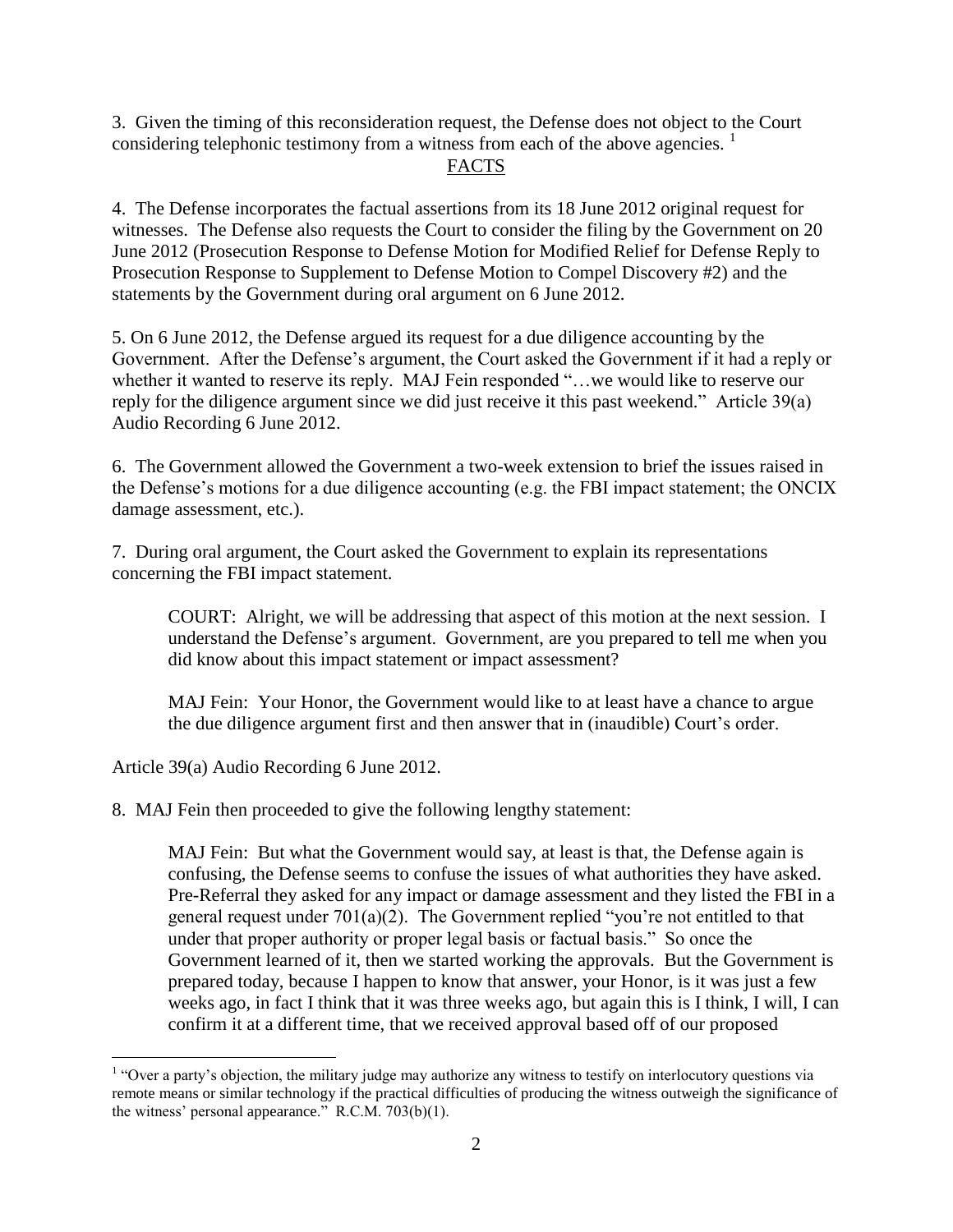3. Given the timing of this reconsideration request, the Defense does not object to the Court considering telephonic testimony from a witness from each of the above agencies.  $\frac{1}{1}$ 

### FACTS

4. The Defense incorporates the factual assertions from its 18 June 2012 original request for witnesses. The Defense also requests the Court to consider the filing by the Government on 20 June 2012 (Prosecution Response to Defense Motion for Modified Relief for Defense Reply to Prosecution Response to Supplement to Defense Motion to Compel Discovery #2) and the statements by the Government during oral argument on 6 June 2012.

5. On 6 June 2012, the Defense argued its request for a due diligence accounting by the Government. After the Defense's argument, the Court asked the Government if it had a reply or whether it wanted to reserve its reply. MAJ Fein responded "...we would like to reserve our reply for the diligence argument since we did just receive it this past weekend." Article 39(a) Audio Recording 6 June 2012.

6. The Government allowed the Government a two-week extension to brief the issues raised in the Defense's motions for a due diligence accounting (e.g. the FBI impact statement; the ONCIX damage assessment, etc.).

7. During oral argument, the Court asked the Government to explain its representations concerning the FBI impact statement.

COURT: Alright, we will be addressing that aspect of this motion at the next session. I understand the Defense's argument. Government, are you prepared to tell me when you did know about this impact statement or impact assessment?

MAJ Fein: Your Honor, the Government would like to at least have a chance to argue the due diligence argument first and then answer that in (inaudible) Court's order.

Article 39(a) Audio Recording 6 June 2012.

8. MAJ Fein then proceeded to give the following lengthy statement:

MAJ Fein: But what the Government would say, at least is that, the Defense again is confusing, the Defense seems to confuse the issues of what authorities they have asked. Pre-Referral they asked for any impact or damage assessment and they listed the FBI in a general request under 701(a)(2). The Government replied "you're not entitled to that under that proper authority or proper legal basis or factual basis." So once the Government learned of it, then we started working the approvals. But the Government is prepared today, because I happen to know that answer, your Honor, is it was just a few weeks ago, in fact I think that it was three weeks ago, but again this is I think, I will, I can confirm it at a different time, that we received approval based off of our proposed

 $\overline{a}$ <sup>1</sup> "Over a party's objection, the military judge may authorize any witness to testify on interlocutory questions via remote means or similar technology if the practical difficulties of producing the witness outweigh the significance of the witness' personal appearance." R.C.M. 703(b)(1).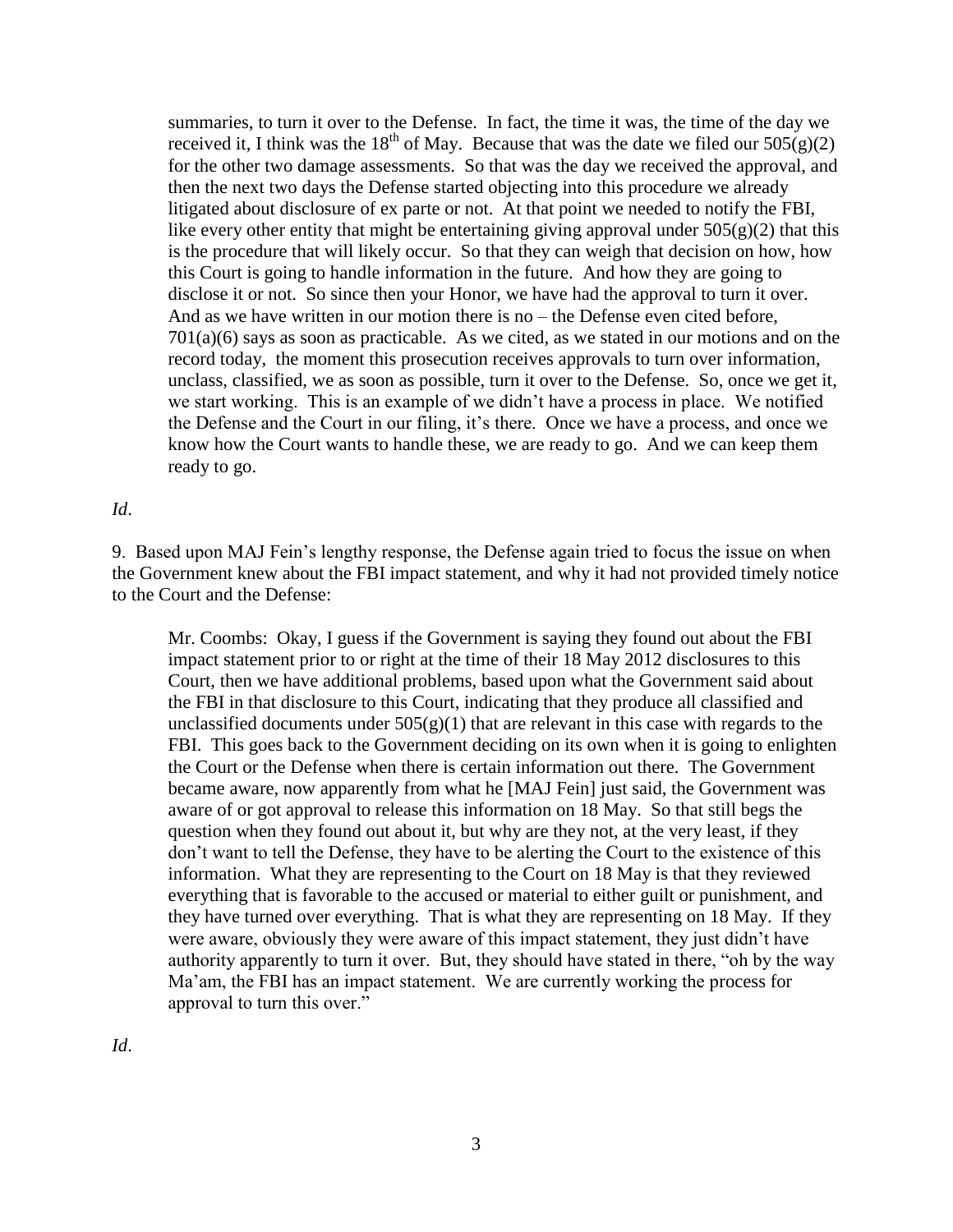summaries, to turn it over to the Defense. In fact, the time it was, the time of the day we received it, I think was the 18<sup>th</sup> of May. Because that was the date we filed our  $505(g)(2)$ for the other two damage assessments. So that was the day we received the approval, and then the next two days the Defense started objecting into this procedure we already litigated about disclosure of ex parte or not. At that point we needed to notify the FBI, like every other entity that might be entertaining giving approval under  $505(g)(2)$  that this is the procedure that will likely occur. So that they can weigh that decision on how, how this Court is going to handle information in the future. And how they are going to disclose it or not. So since then your Honor, we have had the approval to turn it over. And as we have written in our motion there is no – the Defense even cited before,  $701(a)(6)$  says as soon as practicable. As we cited, as we stated in our motions and on the record today, the moment this prosecution receives approvals to turn over information, unclass, classified, we as soon as possible, turn it over to the Defense. So, once we get it, we start working. This is an example of we didn't have a process in place. We notified the Defense and the Court in our filing, it's there. Once we have a process, and once we know how the Court wants to handle these, we are ready to go. And we can keep them ready to go.

#### *Id*.

9. Based upon MAJ Fein's lengthy response, the Defense again tried to focus the issue on when the Government knew about the FBI impact statement, and why it had not provided timely notice to the Court and the Defense:

Mr. Coombs: Okay, I guess if the Government is saying they found out about the FBI impact statement prior to or right at the time of their 18 May 2012 disclosures to this Court, then we have additional problems, based upon what the Government said about the FBI in that disclosure to this Court, indicating that they produce all classified and unclassified documents under  $505(g)(1)$  that are relevant in this case with regards to the FBI. This goes back to the Government deciding on its own when it is going to enlighten the Court or the Defense when there is certain information out there. The Government became aware, now apparently from what he [MAJ Fein] just said, the Government was aware of or got approval to release this information on 18 May. So that still begs the question when they found out about it, but why are they not, at the very least, if they don't want to tell the Defense, they have to be alerting the Court to the existence of this information. What they are representing to the Court on 18 May is that they reviewed everything that is favorable to the accused or material to either guilt or punishment, and they have turned over everything. That is what they are representing on 18 May. If they were aware, obviously they were aware of this impact statement, they just didn't have authority apparently to turn it over. But, they should have stated in there, "oh by the way Ma'am, the FBI has an impact statement. We are currently working the process for approval to turn this over."

*Id*.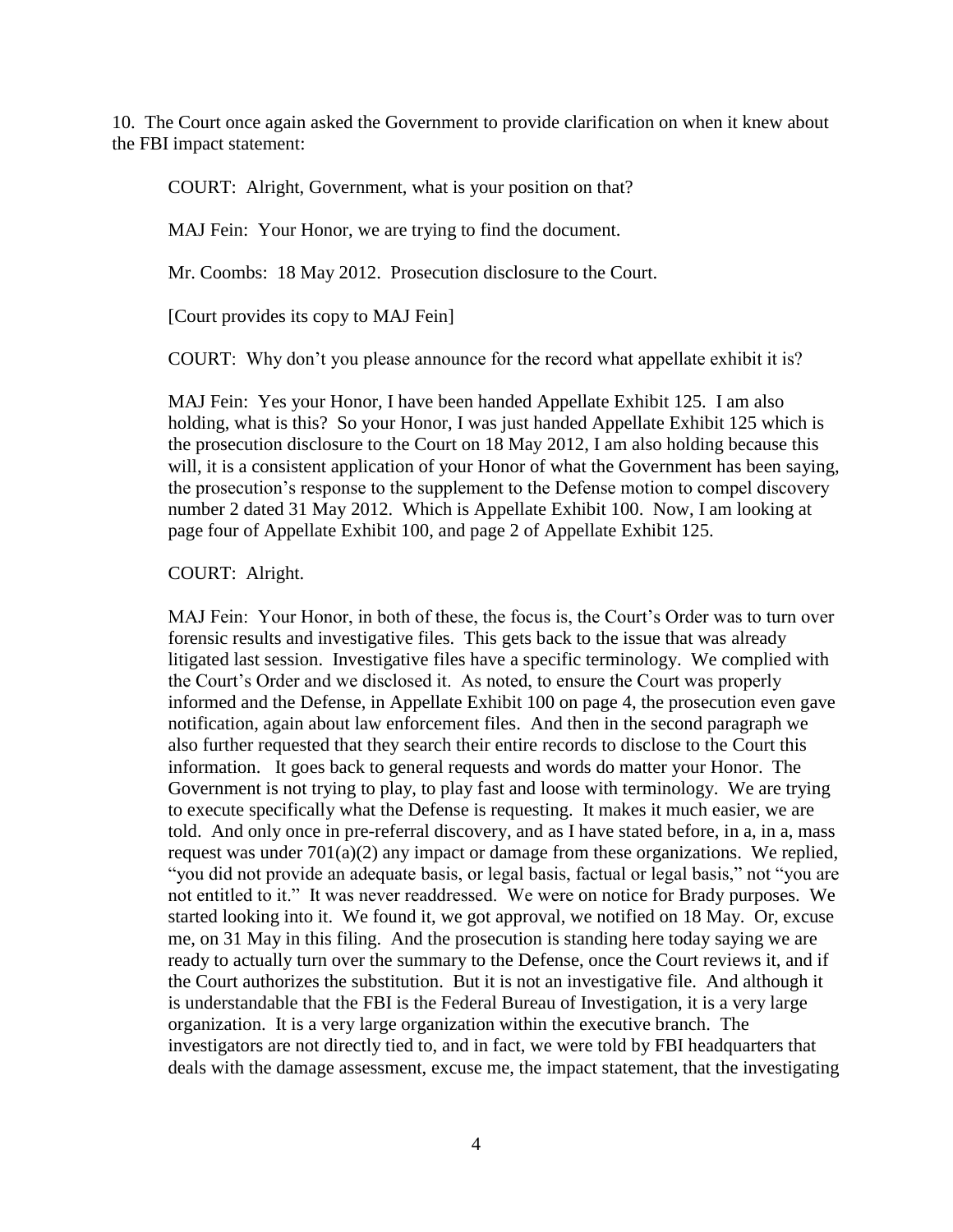10. The Court once again asked the Government to provide clarification on when it knew about the FBI impact statement:

COURT: Alright, Government, what is your position on that?

MAJ Fein: Your Honor, we are trying to find the document.

Mr. Coombs: 18 May 2012. Prosecution disclosure to the Court.

[Court provides its copy to MAJ Fein]

COURT: Why don't you please announce for the record what appellate exhibit it is?

MAJ Fein: Yes your Honor, I have been handed Appellate Exhibit 125. I am also holding, what is this? So your Honor, I was just handed Appellate Exhibit 125 which is the prosecution disclosure to the Court on 18 May 2012, I am also holding because this will, it is a consistent application of your Honor of what the Government has been saying, the prosecution's response to the supplement to the Defense motion to compel discovery number 2 dated 31 May 2012. Which is Appellate Exhibit 100. Now, I am looking at page four of Appellate Exhibit 100, and page 2 of Appellate Exhibit 125.

#### COURT: Alright.

MAJ Fein: Your Honor, in both of these, the focus is, the Court's Order was to turn over forensic results and investigative files. This gets back to the issue that was already litigated last session. Investigative files have a specific terminology. We complied with the Court's Order and we disclosed it. As noted, to ensure the Court was properly informed and the Defense, in Appellate Exhibit 100 on page 4, the prosecution even gave notification, again about law enforcement files. And then in the second paragraph we also further requested that they search their entire records to disclose to the Court this information. It goes back to general requests and words do matter your Honor. The Government is not trying to play, to play fast and loose with terminology. We are trying to execute specifically what the Defense is requesting. It makes it much easier, we are told. And only once in pre-referral discovery, and as I have stated before, in a, in a, mass request was under 701(a)(2) any impact or damage from these organizations. We replied, "you did not provide an adequate basis, or legal basis, factual or legal basis," not "you are not entitled to it." It was never readdressed. We were on notice for Brady purposes. We started looking into it. We found it, we got approval, we notified on 18 May. Or, excuse me, on 31 May in this filing. And the prosecution is standing here today saying we are ready to actually turn over the summary to the Defense, once the Court reviews it, and if the Court authorizes the substitution. But it is not an investigative file. And although it is understandable that the FBI is the Federal Bureau of Investigation, it is a very large organization. It is a very large organization within the executive branch. The investigators are not directly tied to, and in fact, we were told by FBI headquarters that deals with the damage assessment, excuse me, the impact statement, that the investigating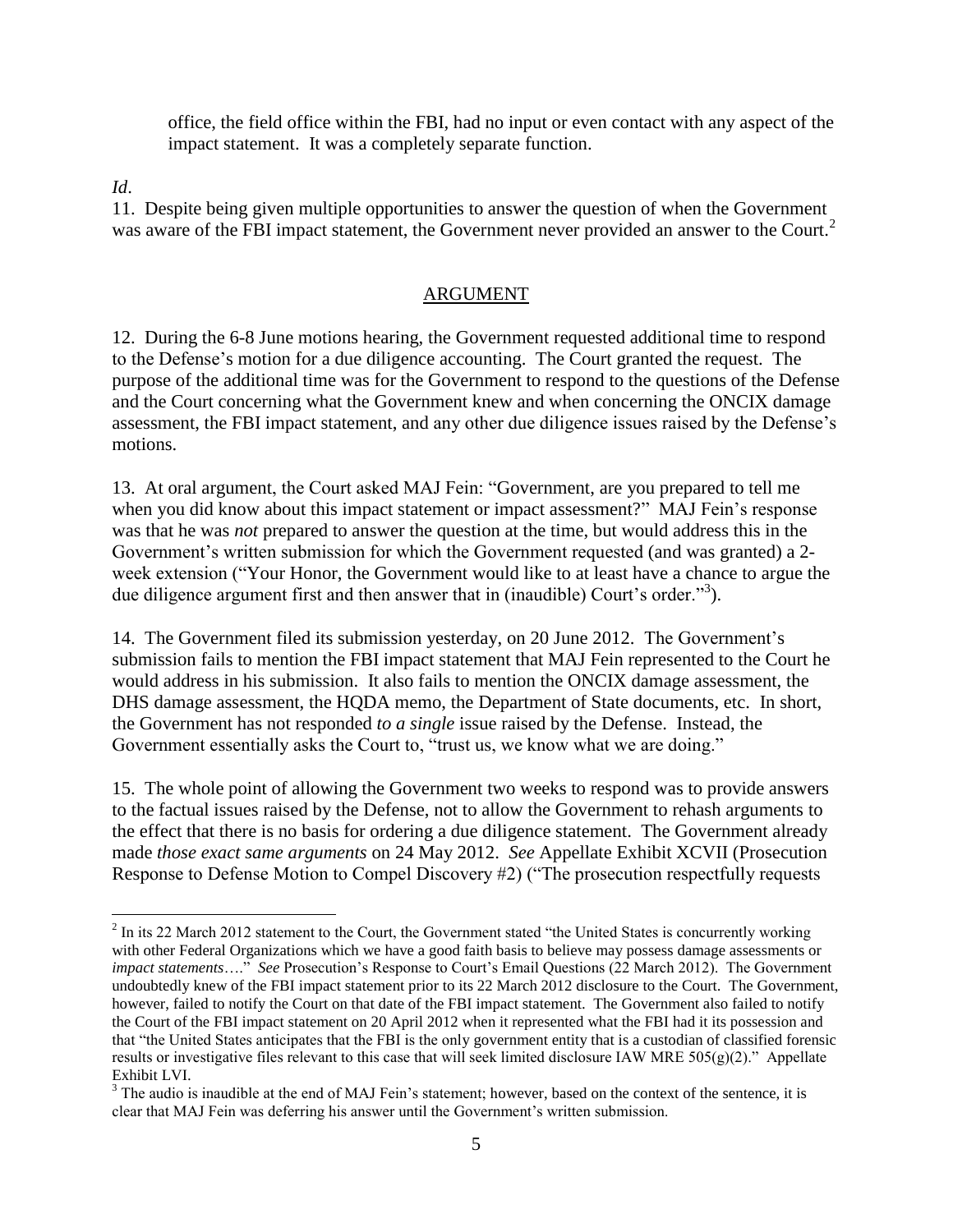office, the field office within the FBI, had no input or even contact with any aspect of the impact statement. It was a completely separate function.

*Id*.

 $\overline{a}$ 

11. Despite being given multiple opportunities to answer the question of when the Government was aware of the FBI impact statement, the Government never provided an answer to the Court.<sup>2</sup>

# ARGUMENT

12. During the 6-8 June motions hearing, the Government requested additional time to respond to the Defense's motion for a due diligence accounting. The Court granted the request. The purpose of the additional time was for the Government to respond to the questions of the Defense and the Court concerning what the Government knew and when concerning the ONCIX damage assessment, the FBI impact statement, and any other due diligence issues raised by the Defense's motions.

13. At oral argument, the Court asked MAJ Fein: "Government, are you prepared to tell me when you did know about this impact statement or impact assessment?" MAJ Fein's response was that he was *not* prepared to answer the question at the time, but would address this in the Government's written submission for which the Government requested (and was granted) a 2 week extension ("Your Honor, the Government would like to at least have a chance to argue the due diligence argument first and then answer that in (inaudible) Court's order.<sup>33</sup>).

14. The Government filed its submission yesterday, on 20 June 2012. The Government's submission fails to mention the FBI impact statement that MAJ Fein represented to the Court he would address in his submission. It also fails to mention the ONCIX damage assessment, the DHS damage assessment, the HQDA memo, the Department of State documents, etc. In short, the Government has not responded *to a single* issue raised by the Defense. Instead, the Government essentially asks the Court to, "trust us, we know what we are doing."

15. The whole point of allowing the Government two weeks to respond was to provide answers to the factual issues raised by the Defense, not to allow the Government to rehash arguments to the effect that there is no basis for ordering a due diligence statement. The Government already made *those exact same arguments* on 24 May 2012. *See* Appellate Exhibit XCVII (Prosecution Response to Defense Motion to Compel Discovery #2) ("The prosecution respectfully requests

 $2$  In its 22 March 2012 statement to the Court, the Government stated "the United States is concurrently working with other Federal Organizations which we have a good faith basis to believe may possess damage assessments or *impact statements*…." *See* Prosecution's Response to Court's Email Questions (22 March 2012). The Government undoubtedly knew of the FBI impact statement prior to its 22 March 2012 disclosure to the Court. The Government, however, failed to notify the Court on that date of the FBI impact statement. The Government also failed to notify the Court of the FBI impact statement on 20 April 2012 when it represented what the FBI had it its possession and that "the United States anticipates that the FBI is the only government entity that is a custodian of classified forensic results or investigative files relevant to this case that will seek limited disclosure IAW MRE 505(g)(2)." Appellate Exhibit LVI.

<sup>&</sup>lt;sup>3</sup> The audio is inaudible at the end of MAJ Fein's statement; however, based on the context of the sentence, it is clear that MAJ Fein was deferring his answer until the Government's written submission.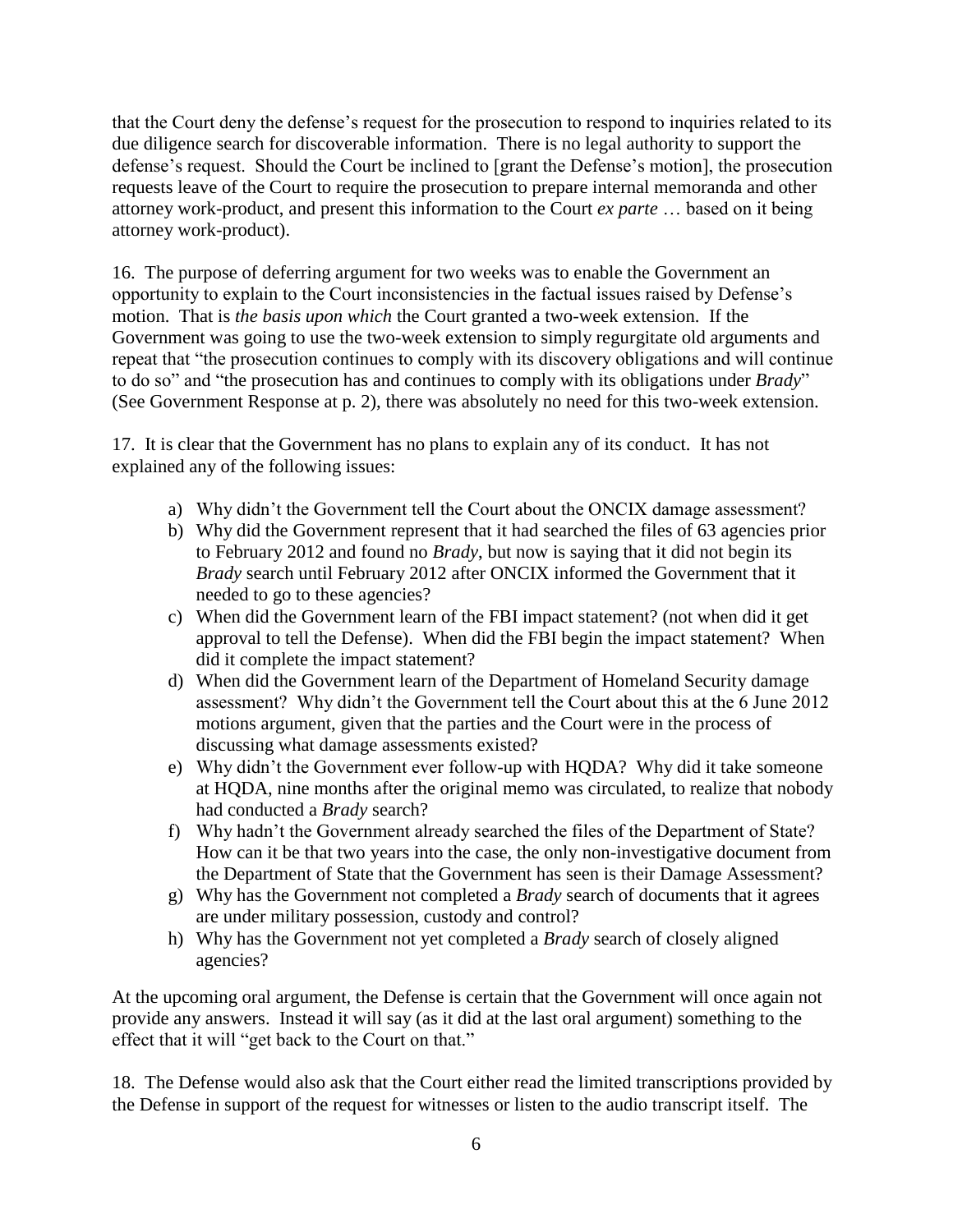that the Court deny the defense's request for the prosecution to respond to inquiries related to its due diligence search for discoverable information. There is no legal authority to support the defense's request. Should the Court be inclined to [grant the Defense's motion], the prosecution requests leave of the Court to require the prosecution to prepare internal memoranda and other attorney work-product, and present this information to the Court *ex parte* … based on it being attorney work-product).

16. The purpose of deferring argument for two weeks was to enable the Government an opportunity to explain to the Court inconsistencies in the factual issues raised by Defense's motion. That is *the basis upon which* the Court granted a two-week extension. If the Government was going to use the two-week extension to simply regurgitate old arguments and repeat that "the prosecution continues to comply with its discovery obligations and will continue to do so" and "the prosecution has and continues to comply with its obligations under *Brady*" (See Government Response at p. 2), there was absolutely no need for this two-week extension.

17. It is clear that the Government has no plans to explain any of its conduct. It has not explained any of the following issues:

- a) Why didn't the Government tell the Court about the ONCIX damage assessment?
- b) Why did the Government represent that it had searched the files of 63 agencies prior to February 2012 and found no *Brady*, but now is saying that it did not begin its *Brady* search until February 2012 after ONCIX informed the Government that it needed to go to these agencies?
- c) When did the Government learn of the FBI impact statement? (not when did it get approval to tell the Defense). When did the FBI begin the impact statement? When did it complete the impact statement?
- d) When did the Government learn of the Department of Homeland Security damage assessment? Why didn't the Government tell the Court about this at the 6 June 2012 motions argument, given that the parties and the Court were in the process of discussing what damage assessments existed?
- e) Why didn't the Government ever follow-up with HQDA? Why did it take someone at HQDA, nine months after the original memo was circulated, to realize that nobody had conducted a *Brady* search?
- f) Why hadn't the Government already searched the files of the Department of State? How can it be that two years into the case, the only non-investigative document from the Department of State that the Government has seen is their Damage Assessment?
- g) Why has the Government not completed a *Brady* search of documents that it agrees are under military possession, custody and control?
- h) Why has the Government not yet completed a *Brady* search of closely aligned agencies?

At the upcoming oral argument, the Defense is certain that the Government will once again not provide any answers. Instead it will say (as it did at the last oral argument) something to the effect that it will "get back to the Court on that."

18. The Defense would also ask that the Court either read the limited transcriptions provided by the Defense in support of the request for witnesses or listen to the audio transcript itself. The